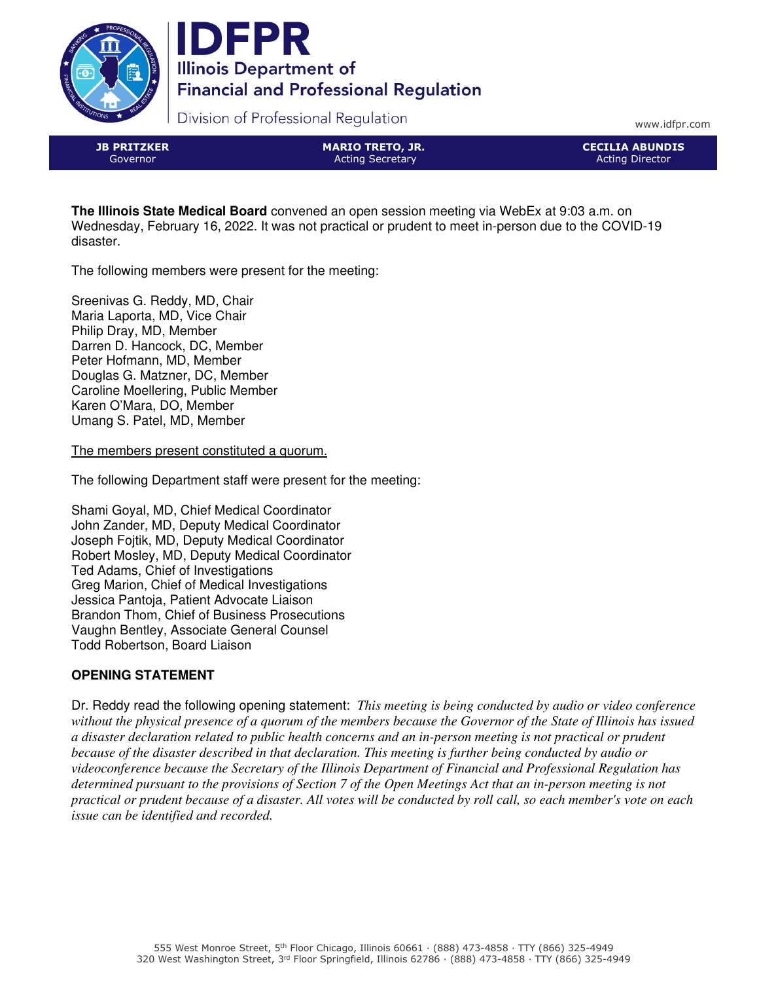



Division of Professional Regulation

www.idfpr.com

JB PRITZKER Governor

MARIO TRETO, JR. Acting Secretary

CECILIA ABUNDIS Acting Director

**The Illinois State Medical Board** convened an open session meeting via WebEx at 9:03 a.m. on Wednesday, February 16, 2022. It was not practical or prudent to meet in-person due to the COVID-19 disaster.

The following members were present for the meeting:

Sreenivas G. Reddy, MD, Chair Maria Laporta, MD, Vice Chair Philip Dray, MD, Member Darren D. Hancock, DC, Member Peter Hofmann, MD, Member Douglas G. Matzner, DC, Member Caroline Moellering, Public Member Karen O'Mara, DO, Member Umang S. Patel, MD, Member

The members present constituted a quorum.

The following Department staff were present for the meeting:

Shami Goyal, MD, Chief Medical Coordinator John Zander, MD, Deputy Medical Coordinator Joseph Fojtik, MD, Deputy Medical Coordinator Robert Mosley, MD, Deputy Medical Coordinator Ted Adams, Chief of Investigations Greg Marion, Chief of Medical Investigations Jessica Pantoja, Patient Advocate Liaison Brandon Thom, Chief of Business Prosecutions Vaughn Bentley, Associate General Counsel Todd Robertson, Board Liaison

# **OPENING STATEMENT**

Dr. Reddy read the following opening statement: *This meeting is being conducted by audio or video conference without the physical presence of a quorum of the members because the Governor of the State of Illinois has issued a disaster declaration related to public health concerns and an in-person meeting is not practical or prudent because of the disaster described in that declaration. This meeting is further being conducted by audio or videoconference because the Secretary of the Illinois Department of Financial and Professional Regulation has determined pursuant to the provisions of Section 7 of the Open Meetings Act that an in-person meeting is not practical or prudent because of a disaster. All votes will be conducted by roll call, so each member's vote on each issue can be identified and recorded.*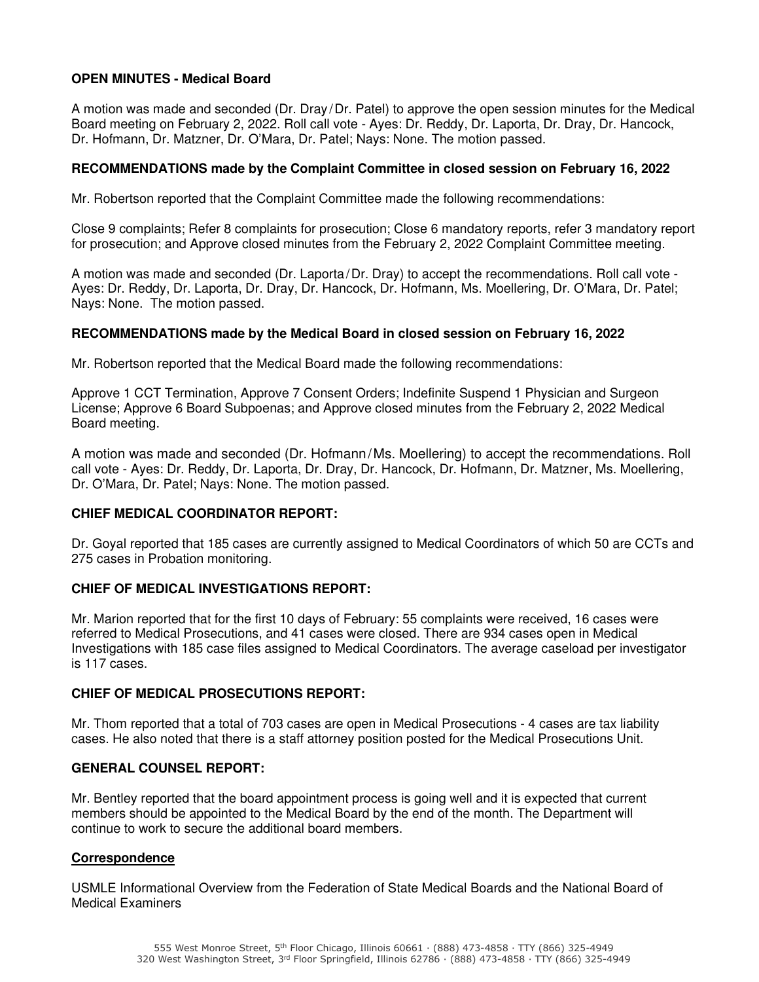### **OPEN MINUTES - Medical Board**

A motion was made and seconded (Dr. Dray /Dr. Patel) to approve the open session minutes for the Medical Board meeting on February 2, 2022. Roll call vote - Ayes: Dr. Reddy, Dr. Laporta, Dr. Dray, Dr. Hancock, Dr. Hofmann, Dr. Matzner, Dr. O'Mara, Dr. Patel; Nays: None. The motion passed.

#### **RECOMMENDATIONS made by the Complaint Committee in closed session on February 16, 2022**

Mr. Robertson reported that the Complaint Committee made the following recommendations:

Close 9 complaints; Refer 8 complaints for prosecution; Close 6 mandatory reports, refer 3 mandatory report for prosecution; and Approve closed minutes from the February 2, 2022 Complaint Committee meeting.

A motion was made and seconded (Dr. Laporta/Dr. Dray) to accept the recommendations. Roll call vote - Ayes: Dr. Reddy, Dr. Laporta, Dr. Dray, Dr. Hancock, Dr. Hofmann, Ms. Moellering, Dr. O'Mara, Dr. Patel; Nays: None. The motion passed.

#### **RECOMMENDATIONS made by the Medical Board in closed session on February 16, 2022**

Mr. Robertson reported that the Medical Board made the following recommendations:

Approve 1 CCT Termination, Approve 7 Consent Orders; Indefinite Suspend 1 Physician and Surgeon License; Approve 6 Board Subpoenas; and Approve closed minutes from the February 2, 2022 Medical Board meeting.

A motion was made and seconded (Dr. Hofmann/Ms. Moellering) to accept the recommendations. Roll call vote - Ayes: Dr. Reddy, Dr. Laporta, Dr. Dray, Dr. Hancock, Dr. Hofmann, Dr. Matzner, Ms. Moellering, Dr. O'Mara, Dr. Patel; Nays: None. The motion passed.

#### **CHIEF MEDICAL COORDINATOR REPORT:**

Dr. Goyal reported that 185 cases are currently assigned to Medical Coordinators of which 50 are CCTs and 275 cases in Probation monitoring.

#### **CHIEF OF MEDICAL INVESTIGATIONS REPORT:**

Mr. Marion reported that for the first 10 days of February: 55 complaints were received, 16 cases were referred to Medical Prosecutions, and 41 cases were closed. There are 934 cases open in Medical Investigations with 185 case files assigned to Medical Coordinators. The average caseload per investigator is 117 cases.

#### **CHIEF OF MEDICAL PROSECUTIONS REPORT:**

Mr. Thom reported that a total of 703 cases are open in Medical Prosecutions - 4 cases are tax liability cases. He also noted that there is a staff attorney position posted for the Medical Prosecutions Unit.

#### **GENERAL COUNSEL REPORT:**

Mr. Bentley reported that the board appointment process is going well and it is expected that current members should be appointed to the Medical Board by the end of the month. The Department will continue to work to secure the additional board members.

#### **Correspondence**

USMLE Informational Overview from the Federation of State Medical Boards and the National Board of Medical Examiners